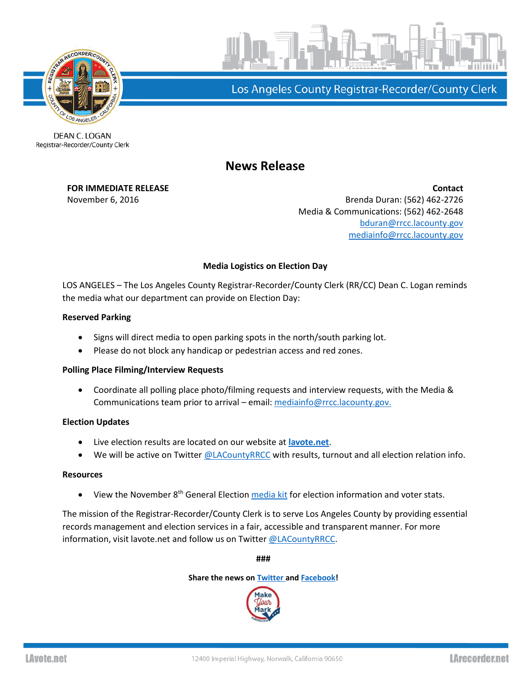



Los Angeles County Registrar-Recorder/County Clerk

#### DEAN C. LOGAN Registrar-Recorder/County Clerk

# **News Release**

**FOR IMMEDIATE RELEASE Contact** November 6, 2016 **Brenda Duran: (562)** 462-2726 Media & Communications: (562) 462-2648 [bduran@rrcc.lacounty.gov](mailto:bduran@rrcc.lacounty.gov) [mediainfo@rrcc.lacounty.gov](mailto:mediainfo@rrcc.lacounty.gov)

## **Media Logistics on Election Day**

LOS ANGELES – The Los Angeles County Registrar-Recorder/County Clerk (RR/CC) Dean C. Logan reminds the media what our department can provide on Election Day:

### **Reserved Parking**

- Signs will direct media to open parking spots in the north/south parking lot.
- Please do not block any handicap or pedestrian access and red zones.

### **Polling Place Filming/Interview Requests**

 Coordinate all polling place photo/filming requests and interview requests, with the Media & Communications team prior to arrival – email[: mediainfo@rrcc.lacounty.gov.](mailto:mediainfo@rrcc.lacounty.gov)

### **Election Updates**

- Live election results are located on our website at **[lavote.net](http://www.lavote.net/home/voting-elections/current-elections/election-results)**.
- We will be active on Twitter [@LACountyRRCC](http://www.twitter.com/lacountyrrcc) with results, turnout and all election relation info.

### **Resources**

 $\bullet$  View the November 8<sup>th</sup> General Election [media kit](http://www.lavote.net/Documents/News_Releases/11082016-media-kit.pdf) for election information and voter stats.

The mission of the Registrar-Recorder/County Clerk is to serve Los Angeles County by providing essential records management and election services in a fair, accessible and transparent manner. For more information, visit lavote.net and follow us on Twitter [@LACountyRRCC.](https://twitter.com/LACountyRRCC)

**###**

**Share the news o[n Twitter a](https://twitter.com/LACountyRRCC)nd [Facebook!](https://www.facebook.com/LACountyRRCC)**